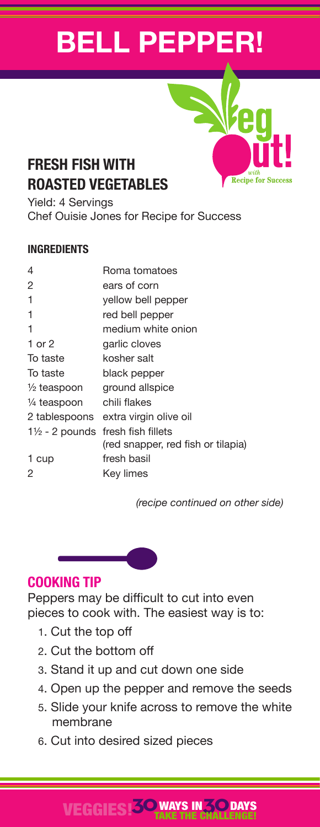# **BELL PEPPER!**

## **FRESH FISH WITH ROASTED VEGETABLES**

Yield: 4 Servings Chef Ouisie Jones for Recipe for Success

#### **INGREDIENTS**

| 4                         | Roma tomatoes                      |
|---------------------------|------------------------------------|
| 2                         | ears of corn                       |
| 1                         | yellow bell pepper                 |
| 1                         | red bell pepper                    |
| 1                         | medium white onion                 |
| 1 or 2                    | garlic cloves                      |
| To taste                  | kosher salt                        |
| To taste                  | black pepper                       |
| $\frac{1}{2}$ teaspoon    | ground allspice                    |
| 1/ <sub>4</sub> teaspoon  | chili flakes                       |
| 2 tablespoons             | extra virgin olive oil             |
| $1\frac{1}{2}$ - 2 pounds | fresh fish fillets                 |
|                           | (red snapper, red fish or tilapia) |
| 1 cup                     | fresh basil                        |
| 2                         | Key limes                          |
|                           |                                    |

 *(recipe continued on other side)*

**Recipe for Success** 

### **COOKING TIP**

Peppers may be difficult to cut into even pieces to cook with. The easiest way is to:

- 1. Cut the top off
- 2. Cut the bottom off
- 3. Stand it up and cut down one side
- 4. Open up the pepper and remove the seeds
- 5. Slide your knife across to remove the white membrane
- 6. Cut into desired sized pieces

#### VEGGIES!**30**WAYS IN**30** TAKE THE CHALLENGE! **DAYS**